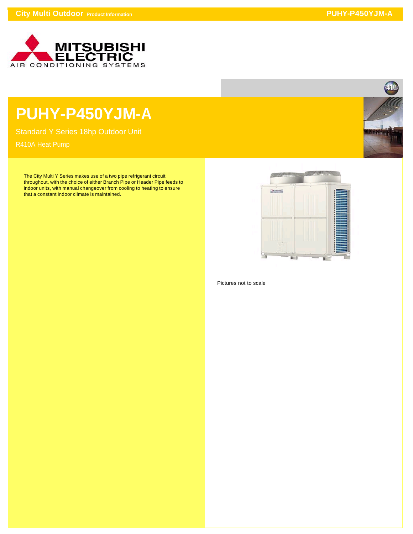

## **PUHY-P450YJM-A**

Standard Y Series 18hp Outdoor Unit

The City Multi Y Series makes use of a two pipe refrigerant circuit throughout, with the choice of either Branch Pipe or Header Pipe feeds to indoor units, with manual changeover from cooling to heating to ensure that a constant indoor climate is maintained.



Pictures not to scale